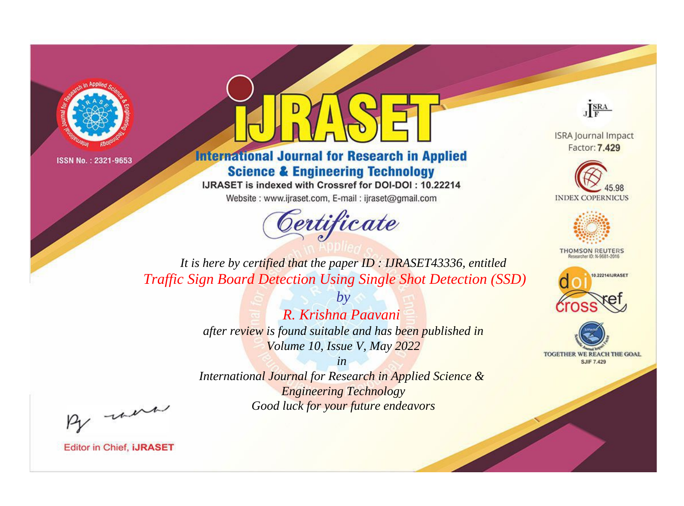



**International Journal for Research in Applied Science & Engineering Technology** 

IJRASET is indexed with Crossref for DOI-DOI: 10.22214

Website: www.ijraset.com, E-mail: ijraset@gmail.com



JERA

**ISRA Journal Impact** Factor: 7.429





**THOMSON REUTERS** 



TOGETHER WE REACH THE GOAL **SJIF 7.429** 

*It is here by certified that the paper ID : IJRASET43336, entitled Traffic Sign Board Detection Using Single Shot Detection (SSD)*

> *R. Krishna Paavani after review is found suitable and has been published in Volume 10, Issue V, May 2022*

*by*

*in* 

*International Journal for Research in Applied Science & Engineering Technology Good luck for your future endeavors*

By morn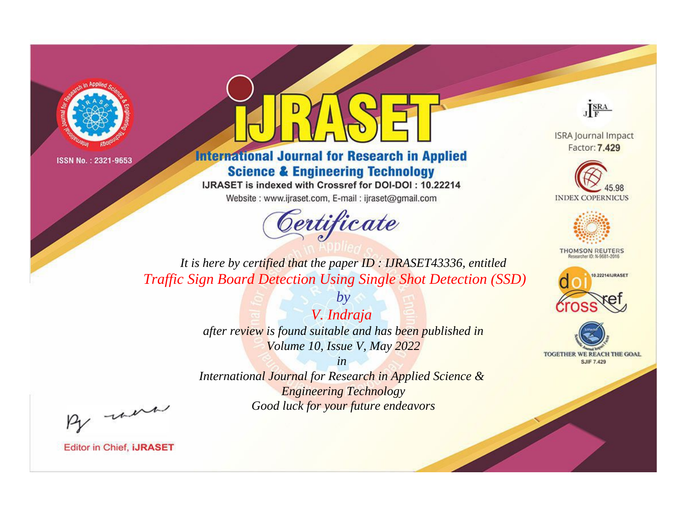



**International Journal for Research in Applied Science & Engineering Technology** 

IJRASET is indexed with Crossref for DOI-DOI: 10.22214

Website: www.ijraset.com, E-mail: ijraset@gmail.com



JERA

**ISRA Journal Impact** Factor: 7.429





**THOMSON REUTERS** 



TOGETHER WE REACH THE GOAL **SJIF 7.429** 

*It is here by certified that the paper ID : IJRASET43336, entitled Traffic Sign Board Detection Using Single Shot Detection (SSD)*

> *V. Indraja after review is found suitable and has been published in Volume 10, Issue V, May 2022*

*by*

*in* 

*International Journal for Research in Applied Science & Engineering Technology Good luck for your future endeavors*

By morn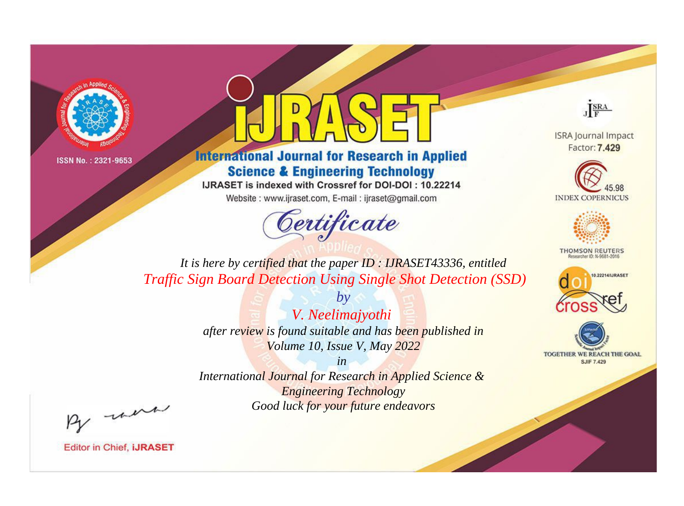



**International Journal for Research in Applied Science & Engineering Technology** 

IJRASET is indexed with Crossref for DOI-DOI: 10.22214

Website: www.ijraset.com, E-mail: ijraset@gmail.com



JERA

**ISRA Journal Impact** Factor: 7.429





**THOMSON REUTERS** 



TOGETHER WE REACH THE GOAL **SJIF 7.429** 

*It is here by certified that the paper ID : IJRASET43336, entitled Traffic Sign Board Detection Using Single Shot Detection (SSD)*

> *by V. Neelimajyothi after review is found suitable and has been published in Volume 10, Issue V, May 2022*

> > *in*

*International Journal for Research in Applied Science & Engineering Technology Good luck for your future endeavors*

By morn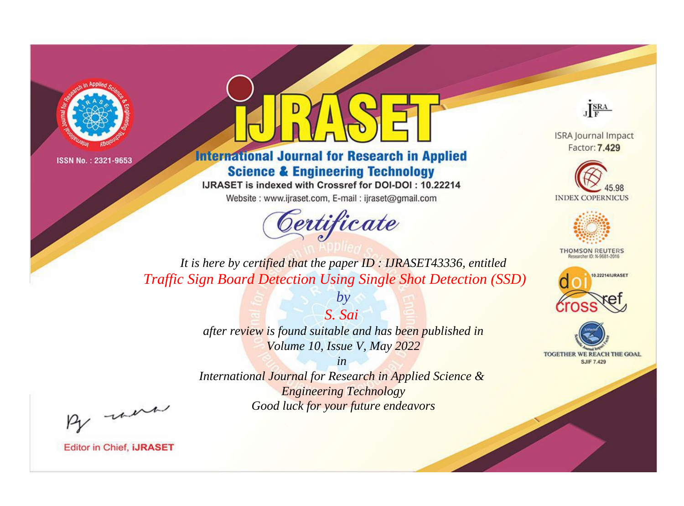



**International Journal for Research in Applied Science & Engineering Technology** 

IJRASET is indexed with Crossref for DOI-DOI: 10.22214

Website: www.ijraset.com, E-mail: ijraset@gmail.com



JERA

**ISRA Journal Impact** Factor: 7.429





**THOMSON REUTERS** 



TOGETHER WE REACH THE GOAL **SJIF 7.429** 

*It is here by certified that the paper ID : IJRASET43336, entitled Traffic Sign Board Detection Using Single Shot Detection (SSD)*

> *after review is found suitable and has been published in Volume 10, Issue V, May 2022*

*S. Sai* 

*by*

*in* 

*International Journal for Research in Applied Science & Engineering Technology Good luck for your future endeavors*

By morn